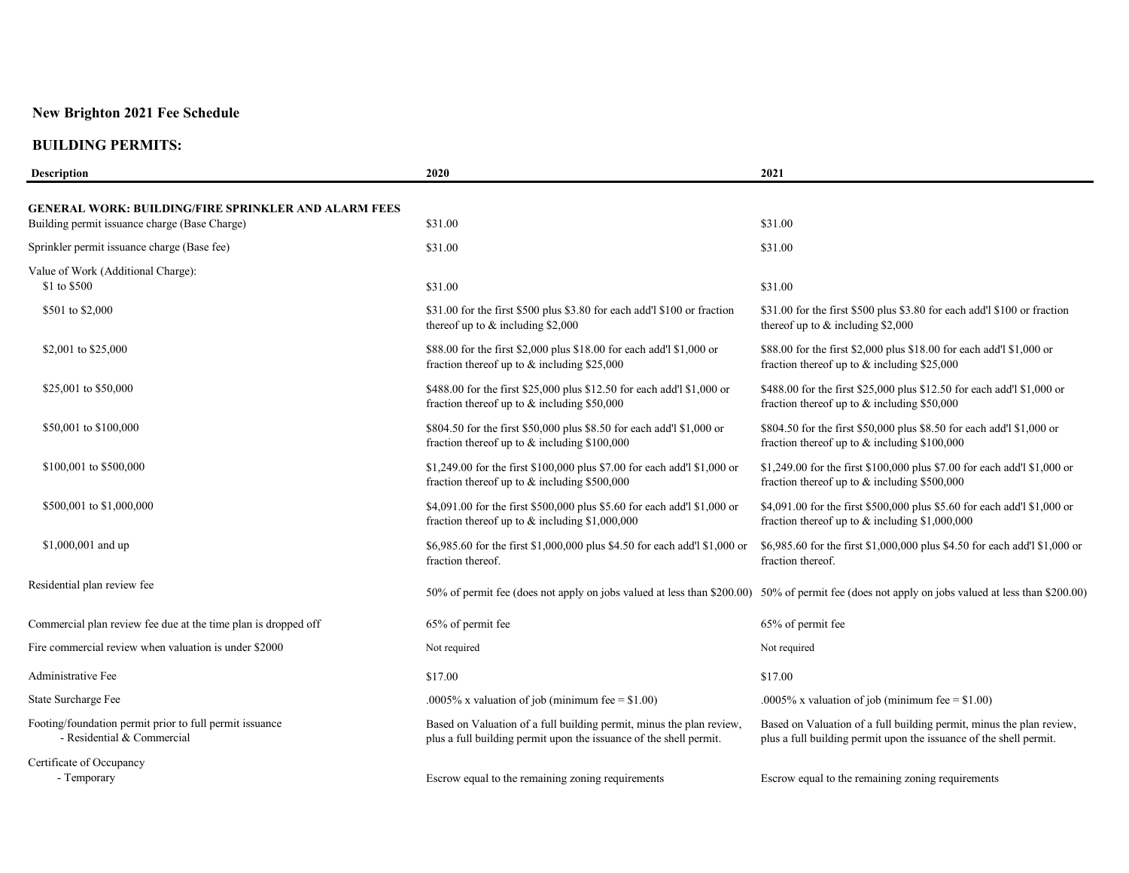| <b>Description</b>                                                                                           | 2020                                                                                                                                       | 2021                                                                                                                                            |
|--------------------------------------------------------------------------------------------------------------|--------------------------------------------------------------------------------------------------------------------------------------------|-------------------------------------------------------------------------------------------------------------------------------------------------|
| <b>GENERAL WORK: BUILDING/FIRE SPRINKLER AND ALARM FEES</b><br>Building permit issuance charge (Base Charge) | \$31.00                                                                                                                                    | \$31.00                                                                                                                                         |
| Sprinkler permit issuance charge (Base fee)                                                                  | \$31.00                                                                                                                                    | \$31.00                                                                                                                                         |
| Value of Work (Additional Charge):                                                                           |                                                                                                                                            |                                                                                                                                                 |
| \$1 to \$500                                                                                                 | \$31.00                                                                                                                                    | \$31.00                                                                                                                                         |
| \$501 to \$2,000                                                                                             | \$31.00 for the first \$500 plus \$3.80 for each add' \$100 or fraction<br>thereof up to & including \$2,000                               | \$31.00 for the first \$500 plus \$3.80 for each add'l \$100 or fraction<br>thereof up to $&$ including \$2,000                                 |
| \$2,001 to \$25,000                                                                                          | \$88.00 for the first \$2,000 plus \$18.00 for each add'l \$1,000 or<br>fraction thereof up to & including \$25,000                        | \$88.00 for the first \$2,000 plus \$18.00 for each add'l \$1,000 or<br>fraction thereof up to & including \$25,000                             |
| \$25,001 to \$50,000                                                                                         | \$488.00 for the first \$25,000 plus \$12.50 for each add'l \$1,000 or<br>fraction thereof up to $&$ including \$50,000                    | \$488.00 for the first \$25,000 plus \$12.50 for each add'l \$1,000 or<br>fraction thereof up to $&$ including \$50,000                         |
| \$50,001 to \$100,000                                                                                        | \$804.50 for the first \$50,000 plus \$8.50 for each add'l \$1,000 or<br>fraction thereof up to $&$ including \$100,000                    | \$804.50 for the first \$50,000 plus \$8.50 for each add'l \$1,000 or<br>fraction thereof up to $&$ including \$100,000                         |
| \$100,001 to \$500,000                                                                                       | \$1,249.00 for the first \$100,000 plus \$7.00 for each add'l \$1,000 or<br>fraction thereof up to $&$ including \$500,000                 | \$1,249.00 for the first \$100,000 plus \$7.00 for each add'l \$1,000 or<br>fraction thereof up to $&$ including \$500,000                      |
| \$500,001 to \$1,000,000                                                                                     | \$4,091.00 for the first \$500,000 plus \$5.60 for each add'l \$1,000 or<br>fraction thereof up to $\&$ including \$1,000,000              | \$4,091.00 for the first \$500,000 plus \$5.60 for each add'l \$1,000 or<br>fraction thereof up to $\&$ including \$1,000,000                   |
| \$1,000,001 and up                                                                                           | \$6,985.60 for the first \$1,000,000 plus \$4.50 for each add'l \$1,000 or<br>fraction thereof.                                            | \$6,985.60 for the first \$1,000,000 plus \$4.50 for each add'l \$1,000 or<br>fraction thereof.                                                 |
| Residential plan review fee                                                                                  |                                                                                                                                            | 50% of permit fee (does not apply on jobs valued at less than \$200.00) 50% of permit fee (does not apply on jobs valued at less than \$200.00) |
| Commercial plan review fee due at the time plan is dropped off                                               | 65% of permit fee                                                                                                                          | 65% of permit fee                                                                                                                               |
| Fire commercial review when valuation is under \$2000                                                        | Not required                                                                                                                               | Not required                                                                                                                                    |
| Administrative Fee                                                                                           | \$17.00                                                                                                                                    | \$17.00                                                                                                                                         |
| State Surcharge Fee                                                                                          | .0005% x valuation of job (minimum fee = $$1.00$ )                                                                                         | .0005% x valuation of job (minimum fee = $$1.00$ )                                                                                              |
| Footing/foundation permit prior to full permit issuance<br>- Residential & Commercial                        | Based on Valuation of a full building permit, minus the plan review,<br>plus a full building permit upon the issuance of the shell permit. | Based on Valuation of a full building permit, minus the plan review,<br>plus a full building permit upon the issuance of the shell permit.      |
| Certificate of Occupancy<br>- Temporary                                                                      | Escrow equal to the remaining zoning requirements                                                                                          | Escrow equal to the remaining zoning requirements                                                                                               |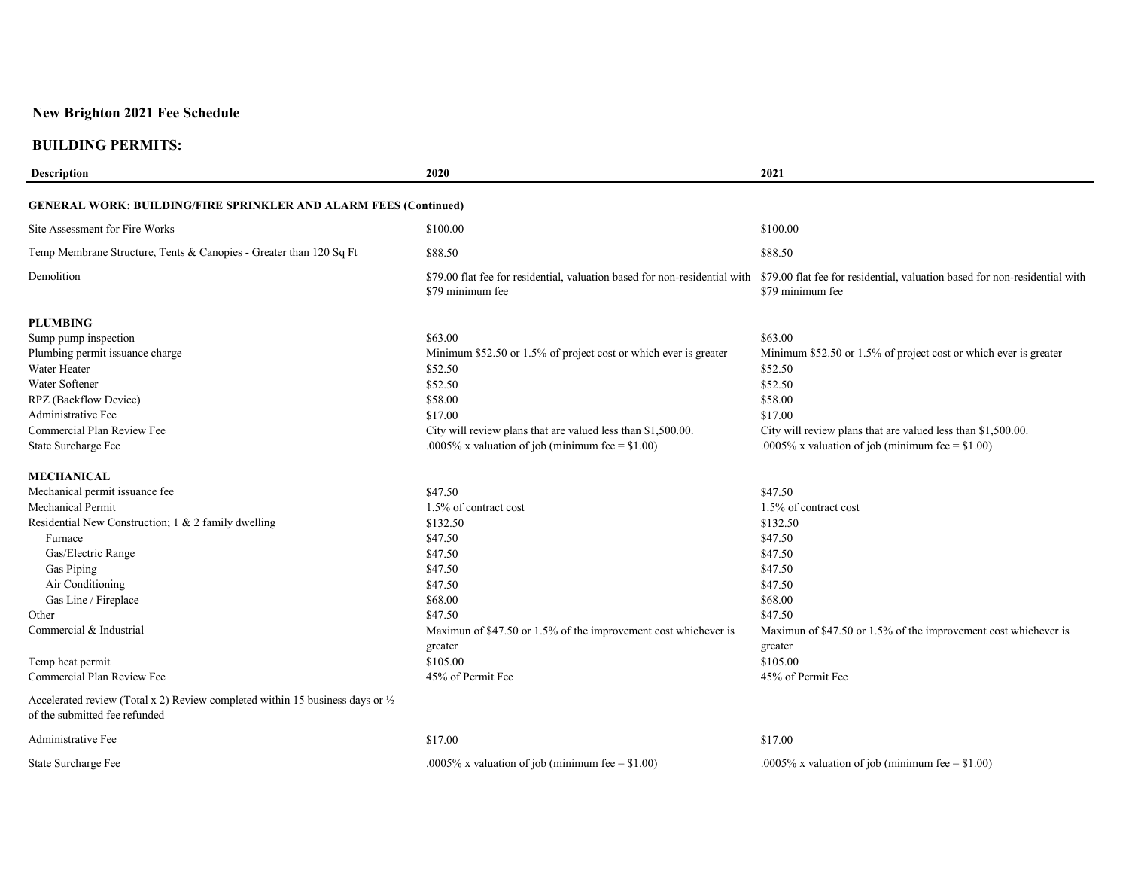#### **BUILDING PERMITS:**

| <b>Description</b>                                                                                                        | 2020                                                             | 2021                                                                                                                                                                      |
|---------------------------------------------------------------------------------------------------------------------------|------------------------------------------------------------------|---------------------------------------------------------------------------------------------------------------------------------------------------------------------------|
| <b>GENERAL WORK: BUILDING/FIRE SPRINKLER AND ALARM FEES (Continued)</b>                                                   |                                                                  |                                                                                                                                                                           |
|                                                                                                                           |                                                                  |                                                                                                                                                                           |
| Site Assessment for Fire Works                                                                                            | \$100.00                                                         | \$100.00                                                                                                                                                                  |
| Temp Membrane Structure, Tents & Canopies - Greater than 120 Sq Ft                                                        | \$88.50                                                          | \$88.50                                                                                                                                                                   |
| Demolition                                                                                                                | \$79 minimum fee                                                 | \$79.00 flat fee for residential, valuation based for non-residential with \$79.00 flat fee for residential, valuation based for non-residential with<br>\$79 minimum fee |
| <b>PLUMBING</b>                                                                                                           |                                                                  |                                                                                                                                                                           |
| Sump pump inspection                                                                                                      | \$63.00                                                          | \$63.00                                                                                                                                                                   |
| Plumbing permit issuance charge                                                                                           | Minimum \$52.50 or 1.5% of project cost or which ever is greater | Minimum \$52.50 or 1.5% of project cost or which ever is greater                                                                                                          |
| Water Heater                                                                                                              | \$52.50                                                          | \$52.50                                                                                                                                                                   |
| Water Softener                                                                                                            | \$52.50                                                          | \$52.50                                                                                                                                                                   |
| RPZ (Backflow Device)                                                                                                     | \$58.00                                                          | \$58.00                                                                                                                                                                   |
| Administrative Fee                                                                                                        | \$17.00                                                          | \$17.00                                                                                                                                                                   |
| Commercial Plan Review Fee                                                                                                | City will review plans that are valued less than \$1,500.00.     | City will review plans that are valued less than \$1,500.00.                                                                                                              |
| State Surcharge Fee                                                                                                       | .0005% x valuation of job (minimum fee = $$1.00$ )               | .0005% x valuation of job (minimum fee = $$1.00$ )                                                                                                                        |
| <b>MECHANICAL</b>                                                                                                         |                                                                  |                                                                                                                                                                           |
| Mechanical permit issuance fee                                                                                            | \$47.50                                                          | \$47.50                                                                                                                                                                   |
| Mechanical Permit                                                                                                         | 1.5% of contract cost                                            | 1.5% of contract cost                                                                                                                                                     |
| Residential New Construction; 1 & 2 family dwelling                                                                       | \$132.50                                                         | \$132.50                                                                                                                                                                  |
| Furnace                                                                                                                   | \$47.50                                                          | \$47.50                                                                                                                                                                   |
| Gas/Electric Range                                                                                                        | \$47.50                                                          | \$47.50                                                                                                                                                                   |
| Gas Piping                                                                                                                | \$47.50                                                          | \$47.50                                                                                                                                                                   |
| Air Conditioning                                                                                                          | \$47.50                                                          | \$47.50                                                                                                                                                                   |
| Gas Line / Fireplace                                                                                                      | \$68.00                                                          | \$68.00                                                                                                                                                                   |
| Other                                                                                                                     | \$47.50                                                          | \$47.50                                                                                                                                                                   |
| Commercial & Industrial                                                                                                   | Maximun of \$47.50 or 1.5% of the improvement cost whichever is  | Maximun of \$47.50 or 1.5% of the improvement cost whichever is                                                                                                           |
|                                                                                                                           | greater                                                          | greater                                                                                                                                                                   |
| Temp heat permit                                                                                                          | \$105.00                                                         | \$105.00                                                                                                                                                                  |
| Commercial Plan Review Fee                                                                                                | 45% of Permit Fee                                                | 45% of Permit Fee                                                                                                                                                         |
| Accelerated review (Total x 2) Review completed within 15 business days or $\frac{1}{2}$<br>of the submitted fee refunded |                                                                  |                                                                                                                                                                           |
| Administrative Fee                                                                                                        | \$17.00                                                          | \$17.00                                                                                                                                                                   |

State Surcharge Fee .0005% x valuation of job (minimum fee = \$1.00) .0005% x valuation of job (minimum fee = \$1.00)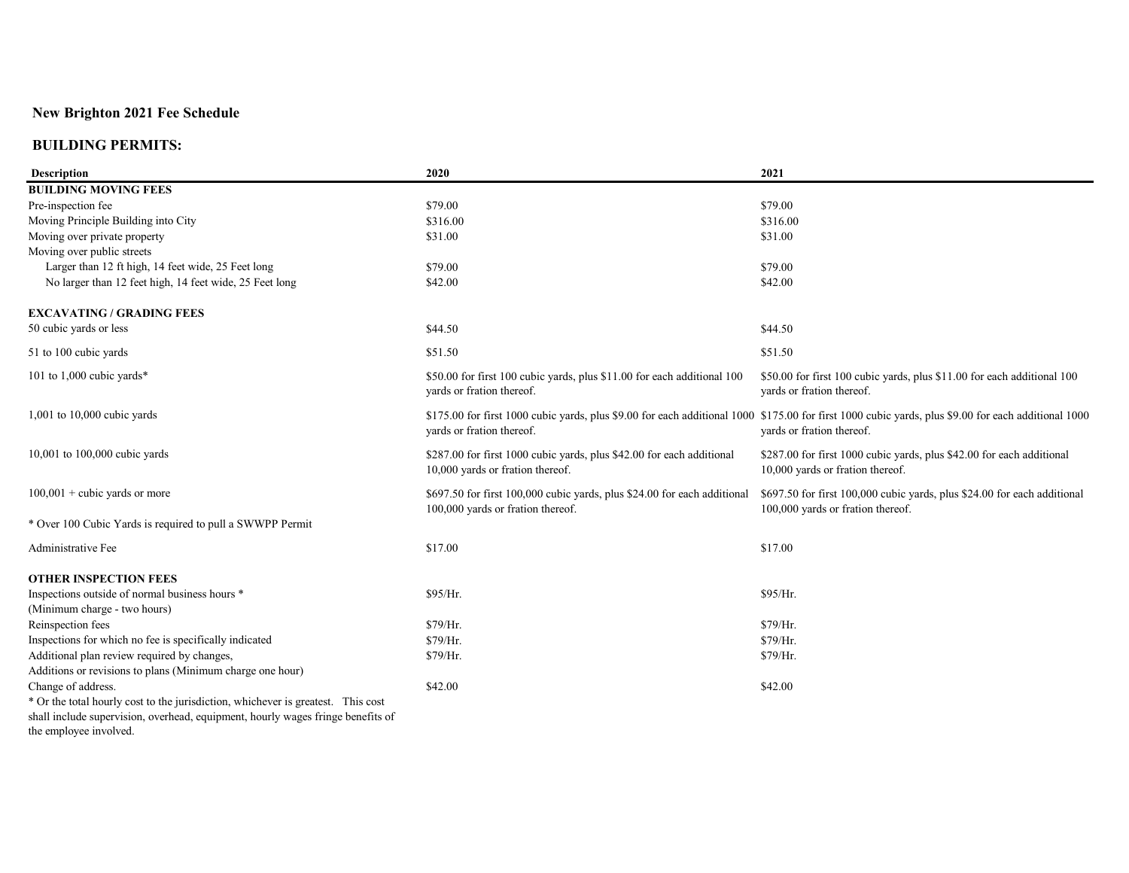| <b>Description</b>                                                               | 2020                                                                                                          | 2021                                                                                                                                                                              |
|----------------------------------------------------------------------------------|---------------------------------------------------------------------------------------------------------------|-----------------------------------------------------------------------------------------------------------------------------------------------------------------------------------|
| <b>BUILDING MOVING FEES</b>                                                      |                                                                                                               |                                                                                                                                                                                   |
| Pre-inspection fee                                                               | \$79.00                                                                                                       | \$79.00                                                                                                                                                                           |
| Moving Principle Building into City                                              | \$316.00                                                                                                      | \$316.00                                                                                                                                                                          |
| Moving over private property                                                     | \$31.00                                                                                                       | \$31.00                                                                                                                                                                           |
| Moving over public streets                                                       |                                                                                                               |                                                                                                                                                                                   |
| Larger than 12 ft high, 14 feet wide, 25 Feet long                               | \$79.00                                                                                                       | \$79.00                                                                                                                                                                           |
| No larger than 12 feet high, 14 feet wide, 25 Feet long                          | \$42.00                                                                                                       | \$42.00                                                                                                                                                                           |
| <b>EXCAVATING / GRADING FEES</b>                                                 |                                                                                                               |                                                                                                                                                                                   |
| 50 cubic yards or less                                                           | \$44.50                                                                                                       | \$44.50                                                                                                                                                                           |
| 51 to 100 cubic yards                                                            | \$51.50                                                                                                       | \$51.50                                                                                                                                                                           |
| 101 to 1,000 cubic yards*                                                        | \$50.00 for first 100 cubic yards, plus \$11.00 for each additional 100<br>yards or fration thereof.          | \$50.00 for first 100 cubic yards, plus \$11.00 for each additional 100<br>yards or fration thereof.                                                                              |
| $1,001$ to $10,000$ cubic yards                                                  | yards or fration thereof.                                                                                     | $$175.00$ for first 1000 cubic yards, plus \$9.00 for each additional 1000 \$175.00 for first 1000 cubic yards, plus \$9.00 for each additional 1000<br>yards or fration thereof. |
| 10,001 to 100,000 cubic yards                                                    | \$287.00 for first 1000 cubic yards, plus \$42.00 for each additional<br>10,000 yards or fration thereof.     | \$287.00 for first 1000 cubic yards, plus \$42.00 for each additional<br>10,000 yards or fration thereof.                                                                         |
| $100,001$ + cubic yards or more                                                  | \$697.50 for first 100,000 cubic yards, plus \$24.00 for each additional<br>100,000 yards or fration thereof. | \$697.50 for first 100,000 cubic yards, plus \$24.00 for each additional<br>100,000 yards or fration thereof.                                                                     |
| * Over 100 Cubic Yards is required to pull a SWWPP Permit                        |                                                                                                               |                                                                                                                                                                                   |
| Administrative Fee                                                               | \$17.00                                                                                                       | \$17.00                                                                                                                                                                           |
| <b>OTHER INSPECTION FEES</b>                                                     |                                                                                                               |                                                                                                                                                                                   |
| Inspections outside of normal business hours *                                   | \$95/Hr.                                                                                                      | \$95/Hr.                                                                                                                                                                          |
| (Minimum charge - two hours)                                                     |                                                                                                               |                                                                                                                                                                                   |
| Reinspection fees                                                                | \$79/Hr.                                                                                                      | \$79/Hr.                                                                                                                                                                          |
| Inspections for which no fee is specifically indicated                           | \$79/Hr.                                                                                                      | \$79/Hr.                                                                                                                                                                          |
| Additional plan review required by changes,                                      | \$79/Hr.                                                                                                      | \$79/Hr.                                                                                                                                                                          |
| Additions or revisions to plans (Minimum charge one hour)                        |                                                                                                               |                                                                                                                                                                                   |
| Change of address.                                                               | \$42.00                                                                                                       | \$42.00                                                                                                                                                                           |
| * Or the total hourly cost to the jurisdiction, whichever is greatest. This cost |                                                                                                               |                                                                                                                                                                                   |
| shall include supervision, overhead, equipment, hourly wages fringe benefits of  |                                                                                                               |                                                                                                                                                                                   |
| the employee involved.                                                           |                                                                                                               |                                                                                                                                                                                   |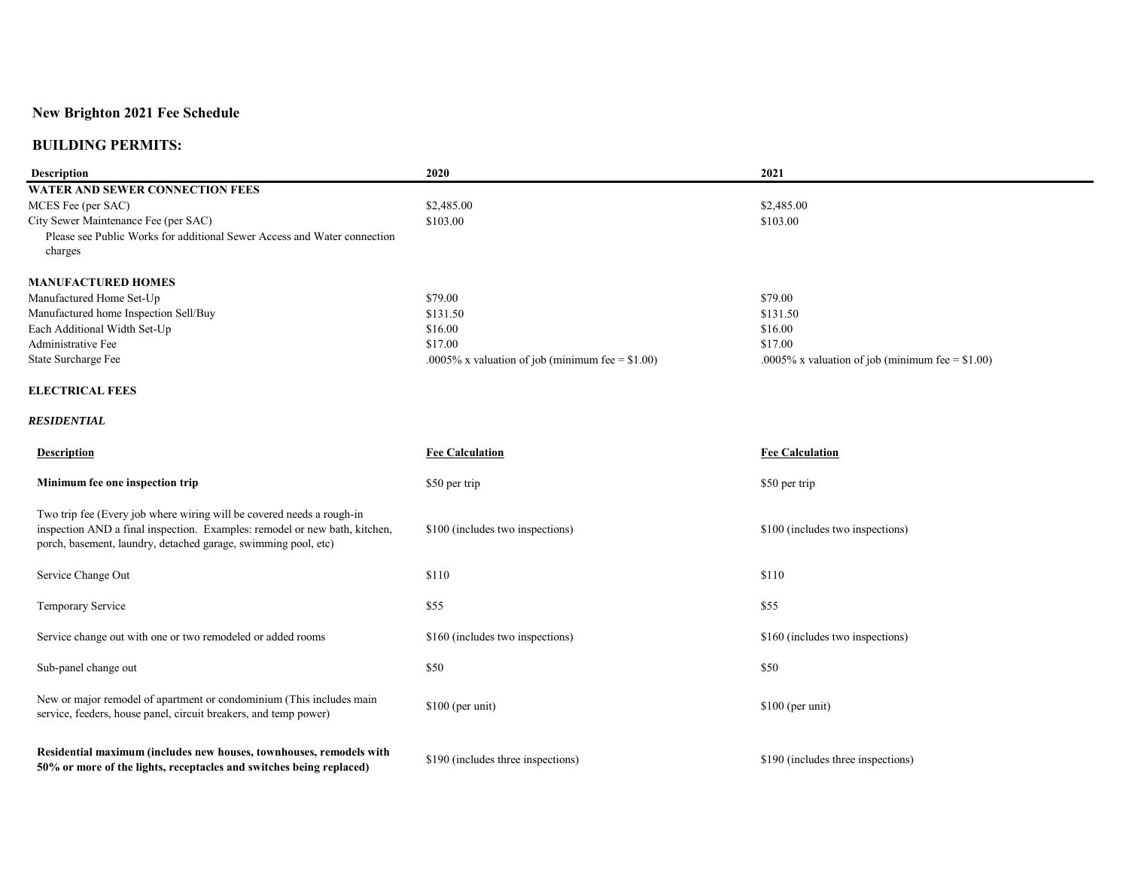| <b>Description</b>                                                                                                                                                                                                    | 2020                                               | 2021                                               |
|-----------------------------------------------------------------------------------------------------------------------------------------------------------------------------------------------------------------------|----------------------------------------------------|----------------------------------------------------|
| <b>WATER AND SEWER CONNECTION FEES</b>                                                                                                                                                                                |                                                    |                                                    |
| MCES Fee (per SAC)                                                                                                                                                                                                    | \$2,485.00                                         | \$2,485.00                                         |
| City Sewer Maintenance Fee (per SAC)                                                                                                                                                                                  | \$103.00                                           | \$103.00                                           |
| Please see Public Works for additional Sewer Access and Water connection                                                                                                                                              |                                                    |                                                    |
| charges                                                                                                                                                                                                               |                                                    |                                                    |
| <b>MANUFACTURED HOMES</b>                                                                                                                                                                                             |                                                    |                                                    |
| Manufactured Home Set-Up                                                                                                                                                                                              | \$79.00                                            | \$79.00                                            |
| Manufactured home Inspection Sell/Buy                                                                                                                                                                                 | \$131.50                                           | \$131.50                                           |
| Each Additional Width Set-Up                                                                                                                                                                                          | \$16.00                                            | \$16.00                                            |
| Administrative Fee                                                                                                                                                                                                    | \$17.00                                            | \$17.00                                            |
| State Surcharge Fee                                                                                                                                                                                                   | .0005% x valuation of job (minimum fee = $$1.00$ ) | .0005% x valuation of job (minimum fee = $$1.00$ ) |
| <b>ELECTRICAL FEES</b>                                                                                                                                                                                                |                                                    |                                                    |
| <b>RESIDENTIAL</b>                                                                                                                                                                                                    |                                                    |                                                    |
| <b>Description</b>                                                                                                                                                                                                    | <b>Fee Calculation</b>                             | <b>Fee Calculation</b>                             |
| Minimum fee one inspection trip                                                                                                                                                                                       | \$50 per trip                                      | \$50 per trip                                      |
| Two trip fee (Every job where wiring will be covered needs a rough-in<br>inspection AND a final inspection. Examples: remodel or new bath, kitchen,<br>porch, basement, laundry, detached garage, swimming pool, etc) | \$100 (includes two inspections)                   | \$100 (includes two inspections)                   |
| Service Change Out                                                                                                                                                                                                    | \$110                                              | \$110                                              |
| Temporary Service                                                                                                                                                                                                     | \$55                                               | \$55                                               |
| Service change out with one or two remodeled or added rooms                                                                                                                                                           | \$160 (includes two inspections)                   | \$160 (includes two inspections)                   |
| Sub-panel change out                                                                                                                                                                                                  | \$50                                               | \$50                                               |
| New or major remodel of apartment or condominium (This includes main<br>service, feeders, house panel, circuit breakers, and temp power)                                                                              | $$100$ (per unit)                                  | \$100 (per unit)                                   |
| Residential maximum (includes new houses, townhouses, remodels with<br>50% or more of the lights, receptacles and switches being replaced)                                                                            | \$190 (includes three inspections)                 | \$190 (includes three inspections)                 |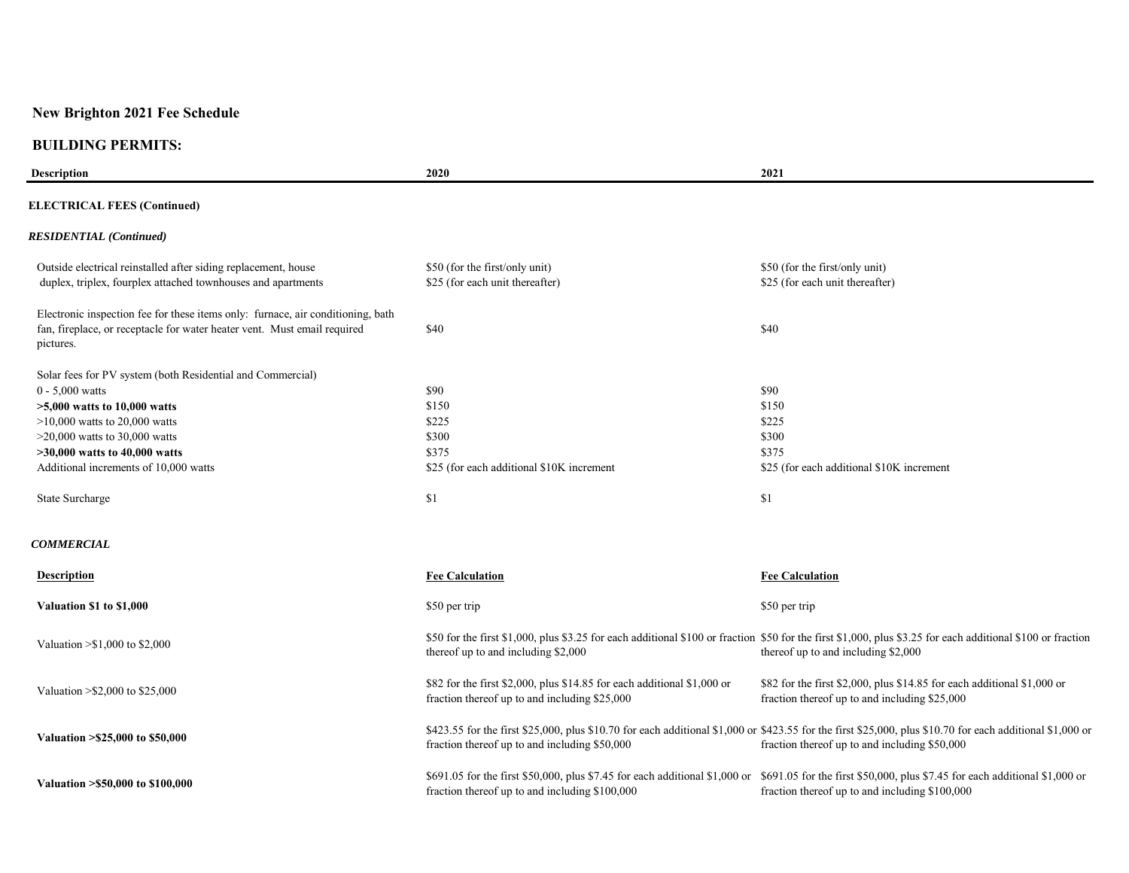| <b>Description</b>                                                                                                                                                                                                                                                  | 2020                                                                                                                     | 2021                                                                                                                                                                                                       |
|---------------------------------------------------------------------------------------------------------------------------------------------------------------------------------------------------------------------------------------------------------------------|--------------------------------------------------------------------------------------------------------------------------|------------------------------------------------------------------------------------------------------------------------------------------------------------------------------------------------------------|
| <b>ELECTRICAL FEES (Continued)</b>                                                                                                                                                                                                                                  |                                                                                                                          |                                                                                                                                                                                                            |
| <b>RESIDENTIAL</b> (Continued)                                                                                                                                                                                                                                      |                                                                                                                          |                                                                                                                                                                                                            |
| Outside electrical reinstalled after siding replacement, house<br>duplex, triplex, fourplex attached townhouses and apartments                                                                                                                                      | \$50 (for the first/only unit)<br>\$25 (for each unit thereafter)                                                        | \$50 (for the first/only unit)<br>\$25 (for each unit thereafter)                                                                                                                                          |
| Electronic inspection fee for these items only: furnace, air conditioning, bath<br>fan, fireplace, or receptacle for water heater vent. Must email required<br>pictures.                                                                                            | \$40                                                                                                                     | \$40                                                                                                                                                                                                       |
| Solar fees for PV system (both Residential and Commercial)<br>$0 - 5,000$ watts<br>$>5,000$ watts to 10,000 watts<br>$>10,000$ watts to 20,000 watts<br>$>20,000$ watts to 30,000 watts<br>$>30,000$ watts to 40,000 watts<br>Additional increments of 10,000 watts | \$90<br>\$150<br>\$225<br>\$300<br>\$375<br>\$25 (for each additional \$10K increment                                    | \$90<br>\$150<br>\$225<br>\$300<br>\$375<br>\$25 (for each additional \$10K increment                                                                                                                      |
| State Surcharge                                                                                                                                                                                                                                                     | \$1                                                                                                                      | \$1                                                                                                                                                                                                        |
| <b>COMMERCIAL</b>                                                                                                                                                                                                                                                   |                                                                                                                          |                                                                                                                                                                                                            |
| <b>Description</b>                                                                                                                                                                                                                                                  | <b>Fee Calculation</b>                                                                                                   | <b>Fee Calculation</b>                                                                                                                                                                                     |
| Valuation \$1 to \$1,000                                                                                                                                                                                                                                            | \$50 per trip                                                                                                            | \$50 per trip                                                                                                                                                                                              |
| Valuation $> $1,000$ to \$2,000                                                                                                                                                                                                                                     | thereof up to and including \$2,000                                                                                      | \$50 for the first \$1,000, plus \$3.25 for each additional \$100 or fraction \$50 for the first \$1,000, plus \$3.25 for each additional \$100 or fraction<br>thereof up to and including \$2,000         |
| Valuation > \$2,000 to \$25,000                                                                                                                                                                                                                                     | \$82 for the first \$2,000, plus \$14.85 for each additional \$1,000 or<br>fraction thereof up to and including \$25,000 | \$82 for the first \$2,000, plus \$14.85 for each additional \$1,000 or<br>fraction thereof up to and including \$25,000                                                                                   |
| Valuation > \$25,000 to \$50,000                                                                                                                                                                                                                                    | fraction thereof up to and including \$50,000                                                                            | \$423.55 for the first \$25,000, plus \$10.70 for each additional \$1,000 or \$423.55 for the first \$25,000, plus \$10.70 for each additional \$1,000 or<br>fraction thereof up to and including \$50,000 |
| Valuation > \$50,000 to \$100,000                                                                                                                                                                                                                                   | fraction thereof up to and including \$100,000                                                                           | \$691.05 for the first \$50,000, plus \$7.45 for each additional \$1,000 or \$691.05 for the first \$50,000, plus \$7.45 for each additional \$1,000 or<br>fraction thereof up to and including \$100,000  |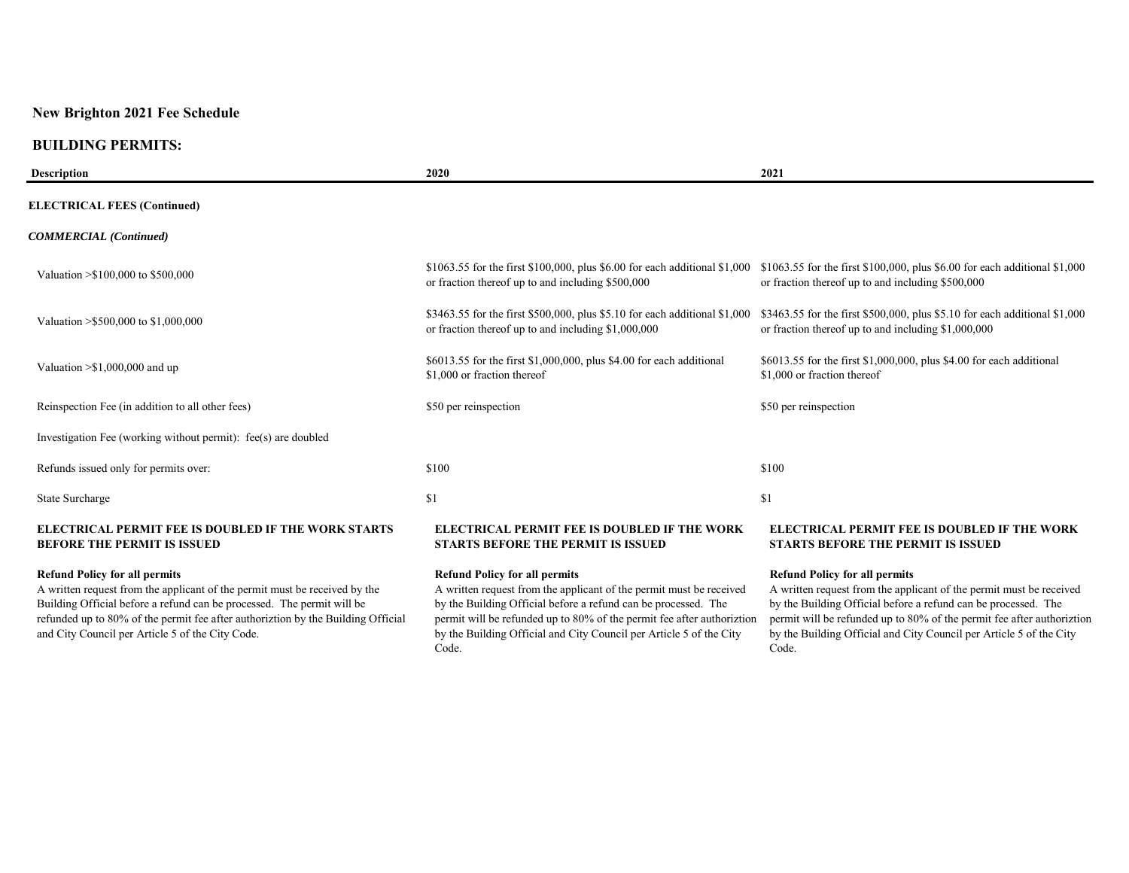#### **BUILDING PERMITS:**

| <b>Description</b>                                                                               | 2020                                                                                                                              | 2021                                                                                                                              |
|--------------------------------------------------------------------------------------------------|-----------------------------------------------------------------------------------------------------------------------------------|-----------------------------------------------------------------------------------------------------------------------------------|
| <b>ELECTRICAL FEES (Continued)</b>                                                               |                                                                                                                                   |                                                                                                                                   |
| <b>COMMERCIAL</b> (Continued)                                                                    |                                                                                                                                   |                                                                                                                                   |
| Valuation $> $100,000$ to \$500,000                                                              | \$1063.55 for the first \$100,000, plus \$6.00 for each additional \$1,000<br>or fraction thereof up to and including \$500,000   | \$1063.55 for the first \$100,000, plus \$6.00 for each additional \$1,000<br>or fraction thereof up to and including \$500,000   |
| Valuation > \$500,000 to \$1,000,000                                                             | \$3463.55 for the first \$500,000, plus \$5.10 for each additional \$1,000<br>or fraction thereof up to and including \$1,000,000 | \$3463.55 for the first \$500,000, plus \$5.10 for each additional \$1,000<br>or fraction thereof up to and including \$1,000,000 |
| Valuation $> $1,000,000$ and up                                                                  | \$6013.55 for the first \$1,000,000, plus \$4.00 for each additional<br>\$1,000 or fraction thereof                               | \$6013.55 for the first \$1,000,000, plus \$4.00 for each additional<br>\$1,000 or fraction thereof                               |
| Reinspection Fee (in addition to all other fees)                                                 | \$50 per reinspection                                                                                                             | \$50 per reinspection                                                                                                             |
| Investigation Fee (working without permit): fee(s) are doubled                                   |                                                                                                                                   |                                                                                                                                   |
| Refunds issued only for permits over:                                                            | \$100                                                                                                                             | \$100                                                                                                                             |
| <b>State Surcharge</b>                                                                           | \$1                                                                                                                               | \$1                                                                                                                               |
| <b>ELECTRICAL PERMIT FEE IS DOUBLED IF THE WORK STARTS</b><br><b>BEFORE THE PERMIT IS ISSUED</b> | <b>ELECTRICAL PERMIT FEE IS DOUBLED IF THE WORK</b><br><b>STARTS BEFORE THE PERMIT IS ISSUED</b>                                  | <b>ELECTRICAL PERMIT FEE IS DOUBLED IF THE WORK</b><br><b>STARTS BEFORE THE PERMIT IS ISSUED</b>                                  |
| <b>Refund Policy for all permits</b>                                                             | <b>Refund Policy for all permits</b>                                                                                              | <b>Refund Policy for all permits</b>                                                                                              |

A written request from the applicant of the permit must be received by the Building Official before a refund can be processed. The permit will be refunded up to 80% of the permit fee after authoriztion by the Building Official and City Council per Article 5 of the City Code.

A written request from the applicant of the permit must be received by the Building Official before a refund can be processed. The permit will be refunded up to 80% of the permit fee after authoriztion by the Building Official and City Council per Article 5 of the City Code.

A written request from the applicant of the permit must be received by the Building Official before a refund can be processed. The permit will be refunded up to 80% of the permit fee after authoriztion by the Building Official and City Council per Article 5 of the City Code.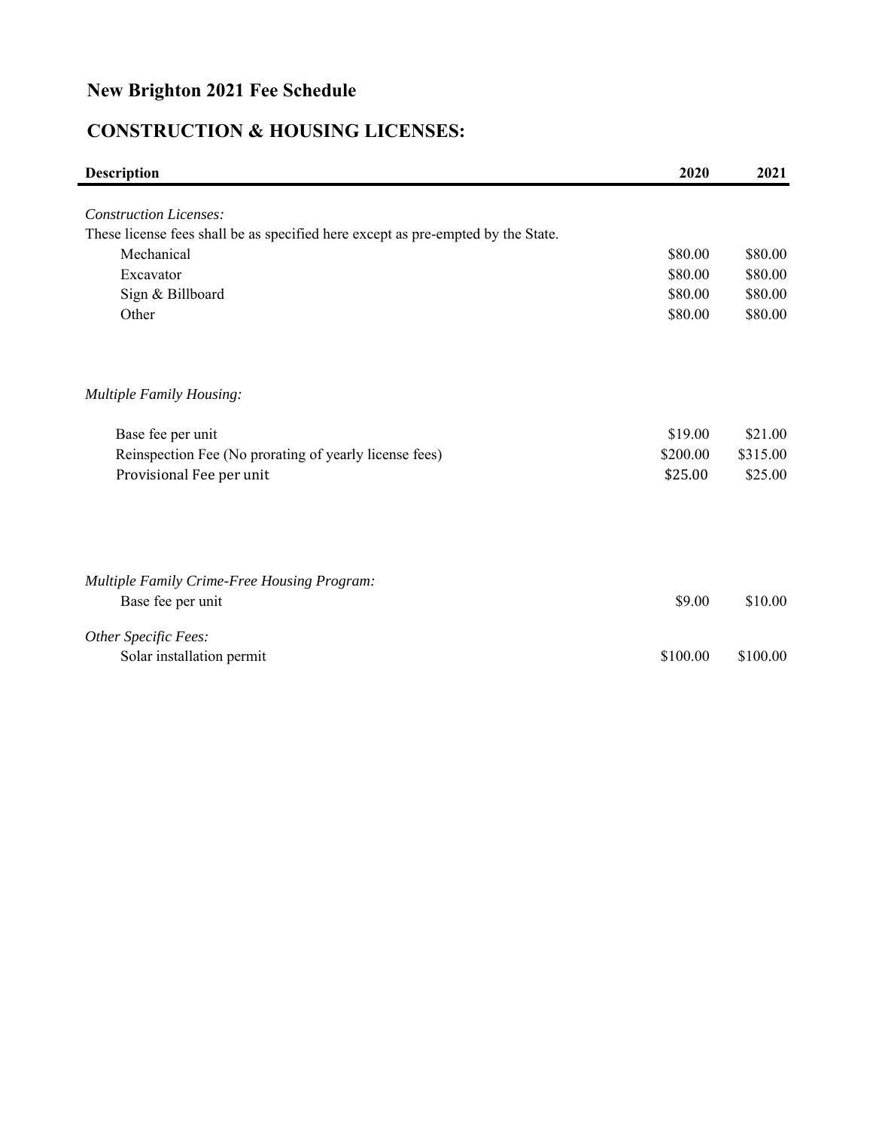# **CONSTRUCTION & HOUSING LICENSES:**

| <b>Description</b>                                                               | 2020     | 2021     |
|----------------------------------------------------------------------------------|----------|----------|
|                                                                                  |          |          |
| <b>Construction Licenses:</b>                                                    |          |          |
| These license fees shall be as specified here except as pre-empted by the State. |          |          |
| Mechanical                                                                       | \$80.00  | \$80.00  |
| Excavator                                                                        | \$80.00  | \$80.00  |
| Sign & Billboard                                                                 | \$80.00  | \$80.00  |
| Other                                                                            | \$80.00  | \$80.00  |
| Multiple Family Housing:                                                         |          |          |
| Base fee per unit                                                                | \$19.00  | \$21.00  |
| Reinspection Fee (No prorating of yearly license fees)                           | \$200.00 | \$315.00 |
| Provisional Fee per unit                                                         | \$25.00  | \$25.00  |
|                                                                                  |          |          |
| Multiple Family Crime-Free Housing Program:                                      |          |          |
| Base fee per unit                                                                | \$9.00   | \$10.00  |
| Other Specific Fees:                                                             |          |          |
| Solar installation permit                                                        | \$100.00 | \$100.00 |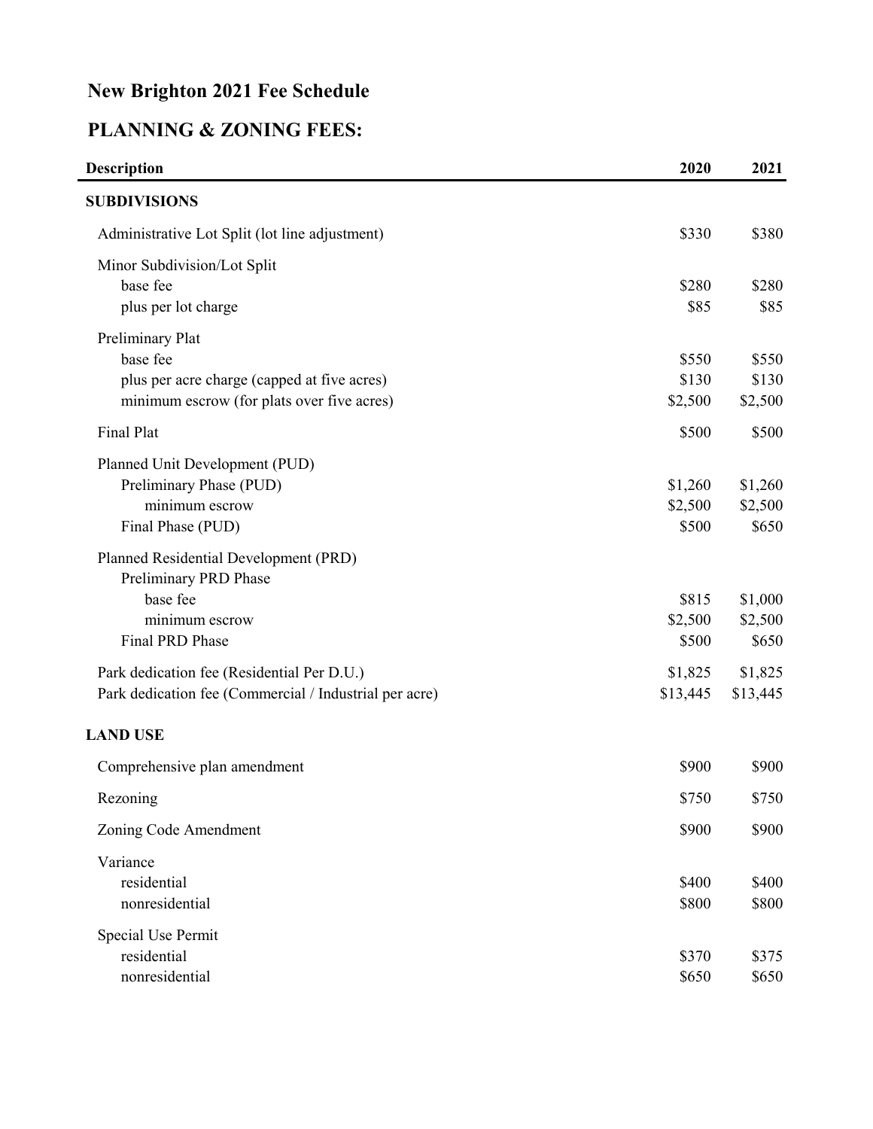# **PLANNING & ZONING FEES:**

| <b>Description</b>                                     | 2020     | 2021     |
|--------------------------------------------------------|----------|----------|
| <b>SUBDIVISIONS</b>                                    |          |          |
| Administrative Lot Split (lot line adjustment)         | \$330    | \$380    |
| Minor Subdivision/Lot Split                            |          |          |
| base fee                                               | \$280    | \$280    |
| plus per lot charge                                    | \$85     | \$85     |
| Preliminary Plat                                       |          |          |
| base fee                                               | \$550    | \$550    |
| plus per acre charge (capped at five acres)            | \$130    | \$130    |
| minimum escrow (for plats over five acres)             | \$2,500  | \$2,500  |
| Final Plat                                             | \$500    | \$500    |
| Planned Unit Development (PUD)                         |          |          |
| Preliminary Phase (PUD)                                | \$1,260  | \$1,260  |
| minimum escrow                                         | \$2,500  | \$2,500  |
| Final Phase (PUD)                                      | \$500    | \$650    |
| Planned Residential Development (PRD)                  |          |          |
| Preliminary PRD Phase                                  |          |          |
| base fee                                               | \$815    | \$1,000  |
| minimum escrow                                         | \$2,500  | \$2,500  |
| Final PRD Phase                                        | \$500    | \$650    |
| Park dedication fee (Residential Per D.U.)             | \$1,825  | \$1,825  |
| Park dedication fee (Commercial / Industrial per acre) | \$13,445 | \$13,445 |
| <b>LAND USE</b>                                        |          |          |
| Comprehensive plan amendment                           | \$900    | \$900    |
| Rezoning                                               | \$750    | \$750    |
| Zoning Code Amendment                                  | \$900    | \$900    |
| Variance                                               |          |          |
| residential                                            | \$400    | \$400    |
| nonresidential                                         | \$800    | \$800    |
| Special Use Permit                                     |          |          |
| residential                                            | \$370    | \$375    |
| nonresidential                                         | \$650    | \$650    |